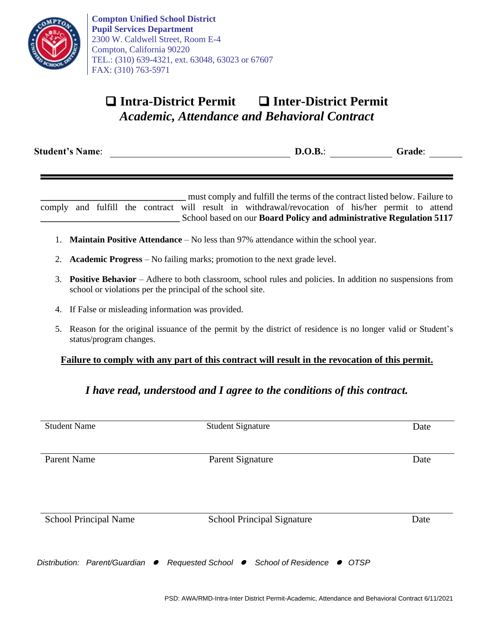

**Compton Unified School District Pupil Services Department** 2300 W. Caldwell Street, Room E-4 Compton, California 90220 TEL.: (310) 639-4321, ext. 63048, 63023 or 67607 FAX: (310) 763-5971

# ❑ **Intra-District Permit** ❑ **Inter-District Permit** *Academic, Attendance and Behavioral Contract*

**Student's Name**: **D.O.B.**: **Grade**:

**\_\_\_\_\_\_\_\_\_\_\_\_\_\_\_\_\_\_\_\_\_\_\_\_\_\_\_\_\_\_** must comply and fulfill the terms of the contract listed below. Failure to comply and fulfill the contract will result in withdrawal/revocation of his/her permit to attend **\_\_\_\_\_\_\_\_\_\_\_\_\_\_\_\_\_\_\_\_\_\_\_\_\_\_\_\_\_\_** School based on our **Board Policy and administrative Regulation 5117**

- 1. **Maintain Positive Attendance** No less than 97% attendance within the school year.
- 2. **Academic Progress** No failing marks; promotion to the next grade level.
- 3. **Positive Behavior** Adhere to both classroom, school rules and policies. In addition no suspensions from school or violations per the principal of the school site.
- 4. If False or misleading information was provided.
- 5. Reason for the original issuance of the permit by the district of residence is no longer valid or Student's status/program changes.

### **Failure to comply with any part of this contract will result in the revocation of this permit.**

## *I have read, understood and I agree to the conditions of this contract.*

| <b>Student Name</b>           |           | <b>Student Signature</b>                                 | Date |
|-------------------------------|-----------|----------------------------------------------------------|------|
| <b>Parent Name</b>            |           | Parent Signature                                         | Date |
| <b>School Principal Name</b>  |           | <b>School Principal Signature</b>                        | Date |
| Distribution: Parent/Guardian | $\bullet$ | Requested School ● School of Residence<br>$\bullet$ OTSP |      |